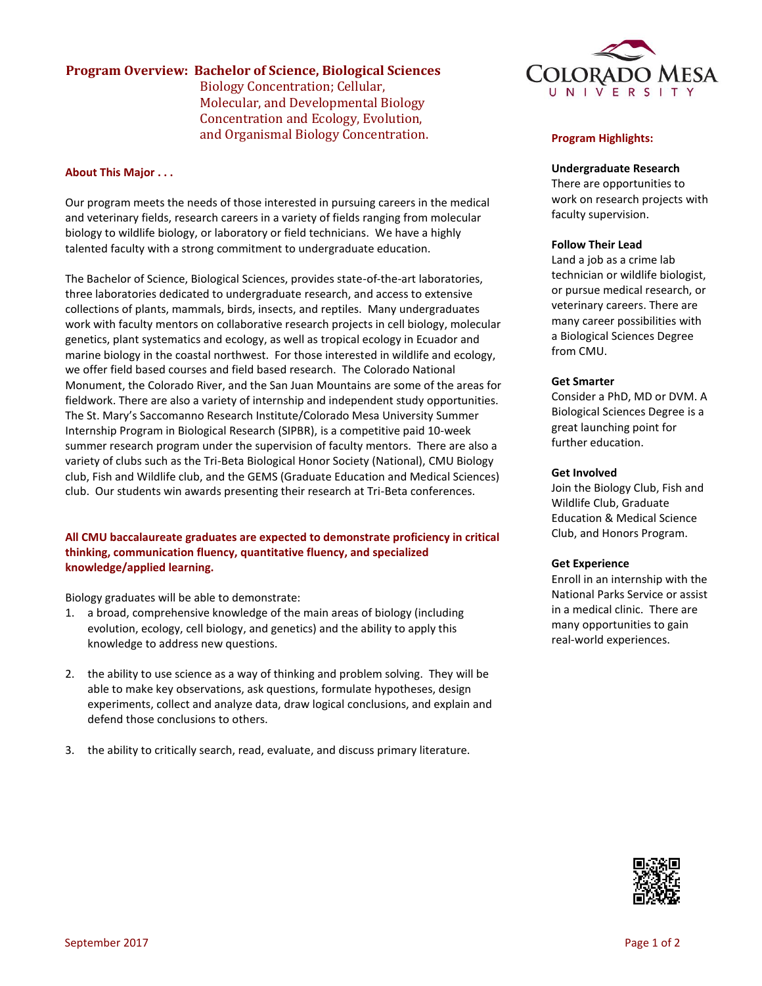# **Program Overview: Bachelor of Science, Biological Sciences**

Biology Concentration; Cellular, Molecular, and Developmental Biology Concentration and Ecology, Evolution, and Organismal Biology Concentration.

# **About This Major . . .**

Our program meets the needs of those interested in pursuing careers in the medical and veterinary fields, research careers in a variety of fields ranging from molecular biology to wildlife biology, or laboratory or field technicians. We have a highly talented faculty with a strong commitment to undergraduate education.

The Bachelor of Science, Biological Sciences, provides state-of-the-art laboratories, three laboratories dedicated to undergraduate research, and access to extensive collections of plants, mammals, birds, insects, and reptiles. Many undergraduates work with faculty mentors on collaborative research projects in cell biology, molecular genetics, plant systematics and ecology, as well as tropical ecology in Ecuador and marine biology in the coastal northwest. For those interested in wildlife and ecology, we offer field based courses and field based research. The Colorado National Monument, the Colorado River, and the San Juan Mountains are some of the areas for fieldwork. There are also a variety of internship and independent study opportunities. The St. Mary's Saccomanno Research Institute/Colorado Mesa University Summer Internship Program in Biological Research (SIPBR), is a competitive paid 10-week summer research program under the supervision of faculty mentors. There are also a variety of clubs such as the Tri-Beta Biological Honor Society (National), CMU Biology club, Fish and Wildlife club, and the GEMS (Graduate Education and Medical Sciences) club. Our students win awards presenting their research at Tri-Beta conferences.

# **All CMU baccalaureate graduates are expected to demonstrate proficiency in critical thinking, communication fluency, quantitative fluency, and specialized knowledge/applied learning.**

Biology graduates will be able to demonstrate:

- 1. a broad, comprehensive knowledge of the main areas of biology (including evolution, ecology, cell biology, and genetics) and the ability to apply this knowledge to address new questions.
- 2. the ability to use science as a way of thinking and problem solving. They will be able to make key observations, ask questions, formulate hypotheses, design experiments, collect and analyze data, draw logical conclusions, and explain and defend those conclusions to others.
- 3. the ability to critically search, read, evaluate, and discuss primary literature.



# **Program Highlights:**

### **Undergraduate Research**

There are opportunities to work on research projects with faculty supervision.

### **Follow Their Lead**

Land a job as a crime lab technician or wildlife biologist, or pursue medical research, or veterinary careers. There are many career possibilities with a Biological Sciences Degree from CMU.

### **Get Smarter**

Consider a PhD, MD or DVM. A Biological Sciences Degree is a great launching point for further education.

### **Get Involved**

Join the Biology Club, Fish and Wildlife Club, Graduate Education & Medical Science Club, and Honors Program.

### **Get Experience**

Enroll in an internship with the National Parks Service or assist in a medical clinic. There are many opportunities to gain real-world experiences.